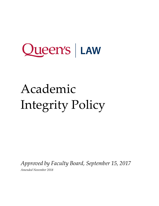# Academic Integrity Policy

*Approved by Faculty Board, September 15, 2017*

*Amended November 2018*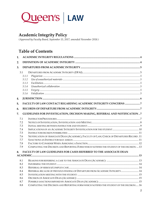

### **Academic Integrity Policy**

*(Approved by Faculty Board, September 15, 2017; amended November 2018.)*

### **Table of Contents**

| 1.  |       |                                                                                                                                                                                                                                                                                                                                                                                                     |  |
|-----|-------|-----------------------------------------------------------------------------------------------------------------------------------------------------------------------------------------------------------------------------------------------------------------------------------------------------------------------------------------------------------------------------------------------------|--|
| 2.  |       |                                                                                                                                                                                                                                                                                                                                                                                                     |  |
| 3.  |       |                                                                                                                                                                                                                                                                                                                                                                                                     |  |
| 3.1 |       |                                                                                                                                                                                                                                                                                                                                                                                                     |  |
|     | 3.1.1 | $\label{eq:1} \textit{Plagiarism}\textit{ 1:}\textit{ 1:}\textit{ 1:}\textit{ 1:}\textit{ 2:}\textit{ 2:}\textit{ 3:}\textit{ 3:}\textit{ 4:}\textit{ 4:}\textit{ 5:}\textit{ 5:}\textit{ 5:}\textit{ 6:}\textit{ 7:}\textit{ 7:}\textit{ 7:}\textit{ 7:}\textit{ 7:}\textit{ 7:}\textit{ 7:}\textit{ 7:}\textit{ 7:}\textit{ 7:}\textit{ 7:}\textit{ 7:}\textit{ 7:}\textit{ 7:}\textit{ 7:}\text$ |  |
|     | 3.1.2 |                                                                                                                                                                                                                                                                                                                                                                                                     |  |
|     | 3.1.3 |                                                                                                                                                                                                                                                                                                                                                                                                     |  |
|     | 3.1.4 |                                                                                                                                                                                                                                                                                                                                                                                                     |  |
|     | 3.1.5 |                                                                                                                                                                                                                                                                                                                                                                                                     |  |
|     | 3.1.6 |                                                                                                                                                                                                                                                                                                                                                                                                     |  |
| 4.  |       |                                                                                                                                                                                                                                                                                                                                                                                                     |  |
| 5.  |       | FACULTY OF LAW CONTACT REGARDING ACADEMIC INTEGRITY CONCERNS 7                                                                                                                                                                                                                                                                                                                                      |  |
|     |       |                                                                                                                                                                                                                                                                                                                                                                                                     |  |
| 6.  |       |                                                                                                                                                                                                                                                                                                                                                                                                     |  |
| 7.  |       | GUIDELINES FOR INVESTIGATION, DECISION MAKING, REFERRAL AND NOTIFICATION 7                                                                                                                                                                                                                                                                                                                          |  |
| 7.1 |       |                                                                                                                                                                                                                                                                                                                                                                                                     |  |
| 7.2 |       |                                                                                                                                                                                                                                                                                                                                                                                                     |  |
| 7.3 |       |                                                                                                                                                                                                                                                                                                                                                                                                     |  |
| 7.4 |       |                                                                                                                                                                                                                                                                                                                                                                                                     |  |
| 7.5 |       |                                                                                                                                                                                                                                                                                                                                                                                                     |  |
| 7.6 |       | NOTIFICATION OF ASSOCIATE DEAN (ACADEMIC), FACULTY OF LAW; CHECK OF DEPARTURES RECORD. 11                                                                                                                                                                                                                                                                                                           |  |
| 7.7 |       |                                                                                                                                                                                                                                                                                                                                                                                                     |  |
| 7.8 |       |                                                                                                                                                                                                                                                                                                                                                                                                     |  |
| 7.9 |       | COMPLETING THE DECISION AND REPORTING FORM WHICH NOTIFIES THE STUDENT OF THE DECISION:  13                                                                                                                                                                                                                                                                                                          |  |
| 8.  |       | <b>FACULTY OF LAW GUIDELINES FOR CASES REFERRED TO THE ASSOCIATE DEAN</b>                                                                                                                                                                                                                                                                                                                           |  |
|     |       |                                                                                                                                                                                                                                                                                                                                                                                                     |  |
| 8.1 |       |                                                                                                                                                                                                                                                                                                                                                                                                     |  |
| 8.2 |       |                                                                                                                                                                                                                                                                                                                                                                                                     |  |
| 8.3 |       |                                                                                                                                                                                                                                                                                                                                                                                                     |  |
| 8.4 |       | REFERRAL BECAUSE OF PREVIOUS FINDING OF DEPARTURE FROM ACADEMIC INTEGRITY 14                                                                                                                                                                                                                                                                                                                        |  |
| 8.5 |       |                                                                                                                                                                                                                                                                                                                                                                                                     |  |
| 8.6 |       |                                                                                                                                                                                                                                                                                                                                                                                                     |  |
| 8.7 |       |                                                                                                                                                                                                                                                                                                                                                                                                     |  |
| 8.8 |       | COMPLETING THE DECISION AND REPORTING FORM WHICH NOTIFIES THE STUDENT OF THE DECISION: 16                                                                                                                                                                                                                                                                                                           |  |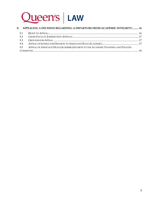

|     | 9. APPEALING A DECISION REGARDING A DEPARTURE FROM ACADEMIC INTEGRITY:  16         |  |
|-----|------------------------------------------------------------------------------------|--|
| 9.1 |                                                                                    |  |
| 9.2 |                                                                                    |  |
| 9.3 |                                                                                    |  |
| 9.4 |                                                                                    |  |
| 9.5 | APPEAL OF ASSOCIATE DEAN (ACADEMIC) DECISION TO THE ACADEMIC STANDING AND POLICIES |  |
|     |                                                                                    |  |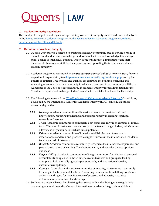

#### <span id="page-3-0"></span>**Academic Integrity Regulations**

The Faculty of Law policy and regulations pertaining to academic integrity are derived from and subject to the Senate Policy on [Academic](http://www.queensu.ca/secretariat/policies/senate/academic-integrity-policy-statement) Integrity and the Senate Policy on Academic Integrity [Procedures-](http://www.queensu.ca/secretariat/sites/webpublish.queensu.ca.uslcwww/files/files/policies/senateandtrustees/AcademicIntegritySenatePolicyAmendedMarch2017.pdf)[Requirements](http://www.queensu.ca/secretariat/sites/webpublish.queensu.ca.uslcwww/files/files/policies/senateandtrustees/AcademicIntegritySenatePolicyAmendedMarch2017.pdf) of Faculties and Schools.

#### <span id="page-3-1"></span>**Definition of Academic Integrity**

- **2.1** Queen's University is dedicated to creating a scholarly community free to explore a range of ideas, to build and advance knowledge, and to share the ideas and knowledge that emerge from a range of intellectual pursuits. Queen's students, faculty, administrators and staff therefore all have responsibilities for supporting and upholding the fundamental values of academic integrity.
- **2.2** Academic integrity is constituted by the *five core fundamental values* of h**onesty, trust, fairness, respect and responsibility** (see [http://www.academicintegrity.org/icai/home.php\)](http://www.academicintegrity.org/icai/home.php) and by the **quality of courage.** These values and qualities are central to the building, nurturing and sustaining of an a c a d e m i c community in which all members of the community will thrive. Adherence to the values expressed through academic integrity forms a foundation for the "freedom of inquiry and exchange of ideas" essential to the intellectual life of the University.
- **2.3** The following statements from "The [Fundamental](http://www.academicintegrity.org/icai/assets/Revised_FV_2014.pdf) Values of Academic Integrity" (2<sup>nd</sup> edition), developed by the International Center for Academic Integrity (ICAI), contextualize these values and qualities:
	- **2.3.1** *Honesty***:** Academic communities of integrity advance the quest for truth and knowledge by requiring intellectual and personal honesty in learning, teaching, research, and service.
	- **2.3.2** *Trust***:** Academic communities of integrity both foster and rely upon climates of mutual trust. Climates of trust encourage and support the free exchange of ideas, which in turn allows scholarly enquiry to reach its fullest potential.
	- **2.3.3** *Fairness:* Academic communities of integrity establish clear and transparent expectations, standards, and practices to support fairness in the interactions of students, faculty, and administrators.
	- **2.3.4** *Respect***:** Academic communities of integrity recognizes the interactive, cooperative, and participatory nature of learning. They honour, value, and consider diverse opinions and ideas.
	- **2.3.5** *Responsibility:* Academic communities of integrity rest upon foundations of personal accountability coupled with the willingness of individuals and groups to lead by example, uphold mutually agreed-upon standards, and take action when they encounter wrongdoing.
	- **2.3.6** *Courage: To* develop and sustain communities of integrity, it takes more than simply believing in the fundamental values. Translating these values from talking points into action – standing up for them in the face of pressure and adversity – requires determination, commitment and courage.
- **2.4** Students are responsible for familiarizing themselves with and adhering to the regulations concerning academic integrity. General information on academic integrity is available at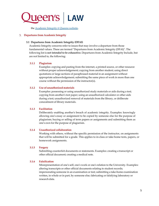

the [Academic](http://www.queensu.ca/academicintegrity/home) Integrity @ Queens website.

#### <span id="page-4-1"></span><span id="page-4-0"></span>**Departures from Academic Integrity**

#### **3.1 Departures from Academic Integrity (DFAI)**

Academic Integrity concerns refer to issues that may involve a departure from those fundamental values. These are termed "Departures from Academic Integrity (DFAI)". The following list is *not intended to be exhaustive.* Departures from Academic Integrity Include, but are not limited to, the following:

#### <span id="page-4-2"></span>**3.1.1 Plagiarism**

Examples: copying and pasting from the internet, a printed source, or other resource without proper acknowledgement; copying from another student; using direct quotations or large sections of paraphrased material in an assignment without appropriate acknowledgement; submitting the same piece of work in more than one course without the permission of the instructor(s).

#### <span id="page-4-3"></span>**3.1.2 Use of unauthorized materials**

Examples: possessing or using unauthorized study materials or aids during a test; copying from another's test paper; using an unauthorized calculator or other aids during a test; unauthorized removal of materials from the library, or deliberate concealment of library materials.

#### <span id="page-4-4"></span>**3.1.3 Facilitation**

Deliberately enabling another's breach of academic integrity. Examples: knowingly allowing one's essay or assignment to be copied by someone else for the purpose of plagiarism; buying or selling of term papers or assignments and submitting them as one's own for the purpose of plagiarism.

#### <span id="page-4-5"></span>**3.1.4 Unauthorized collaboration**

Working with others, without the specific permission of the instructor, on assignments that will be submitted for a grade. This applies to in-class or take-home tests, papers, or homework assignments.

#### <span id="page-4-6"></span>**3.1.5 Forgery**

Submitting counterfeit documents or statements. Examples: creating a transcript or other official document; creating a medical note.

#### <span id="page-4-7"></span>**3.1.6 Falsification**

Misrepresentation of one's self, one's work or one's relation to the University. Examples: altering transcripts or other official documents relating to student records; impersonating someone in an examination or test; submitting a take-home examination written, in whole or in part, by someone else; fabricating or falsifying laboratory or research data.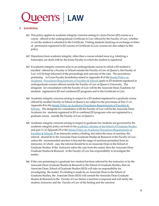#### <span id="page-5-0"></span>**Jurisdiction**

- **4.1** This policy applies to academic integrity concerns arising in a Juris Doctor (JD) course or a course offered in the undergraduate Certificate in Law offered by the Faculty of Law, whether or not the student is admitted to the Certificate. Visiting students studying on exchange or letter of permission registered in JD courses or Certificate in Law courses are also subject to this policy.
- **4.2** Departures from academic integrity, other than a course-related issue (e.g. falsifying a transcript), are dealt with by the home Faculty in which the student is registered.
- **4.3** If academic integrity concerns arise in an undergraduate course in which a JD student is enrolled offered by a Faculty or School outside the Faculty of Law at Queen's, the Faculty of Law will be kept informed of the proceedings and outcome of the case. The procedures pertaining to Cross-Faculty Jurisdiction stated in Appendix B of the [Senate](http://www.queensu.ca/secretariat/sites/webpublish.queensu.ca.uslcwww/files/files/policies/senateandtrustees/AcademicIntegritySenatePolicyAmendedMarch2017.pdf) Policy on [Academic](http://www.queensu.ca/secretariat/sites/webpublish.queensu.ca.uslcwww/files/files/policies/senateandtrustees/AcademicIntegritySenatePolicyAmendedMarch2017.pdf) [Procedures-Requirements](http://www.queensu.ca/secretariat/sites/webpublish.queensu.ca.uslcwww/files/files/policies/senateandtrustees/AcademicIntegritySenatePolicyAmendedMarch2017.pdf) of Faculties & Schools apply to JD students registered in undergraduate courses offered outside the Faculty of Law at Queen's University. The designate for consultation with the Faculty of Law will be the Associate Dean Academic for students registered in JD and combined JD programs and in the Certificate in Law.
- **4.4** Academic integrity concerns arising in respect to a JD student registered in a graduate course offered by another Faculty or School at Queen's are subject to the provisions of Part 11 of Appendix B to the Senate Policy on Academic [Procedures-Requirements](http://www.queensu.ca/secretariat/sites/webpublish.queensu.ca.uslcwww/files/files/policies/senateandtrustees/AcademicIntegritySenatePolicyAmendedMarch2017.pdf) of Faculties & [Schools.](http://www.queensu.ca/secretariat/sites/webpublish.queensu.ca.uslcwww/files/files/policies/senateandtrustees/AcademicIntegritySenatePolicyAmendedMarch2017.pdf) The designate for consultation with the Faculty of Law will be the Associate Dean Academic for students registered in JD or combined JD programs who are registered in a graduate course outside the Faculty of Law at Queen's.
- **4.5** Academic integrity concerns arising in respect to graduate law students are governed by the academic integrity policy set forth in the academic calendar of the School of [Graduate](http://www.queensu.ca/calendars/sgsr/Academic_Integrity_Policy.html) Studies and part 11 of Appendix B to the Senate Policy on Academic [Procedures-Requirements](http://www.queensu.ca/secretariat/sites/webpublish.queensu.ca.uslcwww/files/files/policies/senateandtrustees/AcademicIntegritySenatePolicyAmendedMarch2017.pdf) of [Faculties](http://www.queensu.ca/secretariat/sites/webpublish.queensu.ca.uslcwww/files/files/policies/senateandtrustees/AcademicIntegritySenatePolicyAmendedMarch2017.pdf) & Schools. If an instructor makes a finding, but refers the issue of sanction, the referral should be to the Associate Dean Graduate Studies & Research in the Faculty of Law, unless the recommended sanction is beyond the range of sanctions permitted from an instructor, in which case, the referral should be to an Associate Dean in the School of Graduate Studies. If the instructor refers the case from the outset, then the Associate Dean Graduate Studies & Research in the Faculty of Law has responsibility to investigate the matter.
- **4.6** If the case pertaining to a graduate law student has been referred by the instructor or by the Associate Dean Graduate Studies & Research to the School of Graduate Studies, then an Associate Dean, School of Graduate Studies (SGS) will take on responsibility for investigating the matter. If a finding is made by an Associate Dean in the School of Graduate Studies, the Associate Dean (SGS) will consult the Associate Dean Graduate Studies & Research in the Faculty of Law before a sanction is imposed and will notify the student, instructor and the Faculty of Law of the finding and the sanction.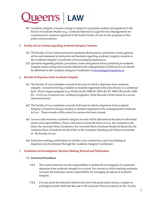**4.7** Academic integrity concerns arising in respect to a graduate student not registered in the School of Graduate Studies (e.g., Graduate Diploma in Legal Services Management) are considered law students registered in the home Faculty of Law for the purposes of this policy and procedures.

#### <span id="page-6-0"></span>**Faculty of Law Contact regarding Academic Integrity Concerns**

- **5.1** The Faculty of Law contact person for questions about policies, procedures, forms, general advice and assistance to instructors and students regarding academic integrity concerns is the Academic Integrity Coordinator at lawacintegrity@queensu.ca.
- **5.2** Questions regarding policies, procedures, forms and general advice pertaining to academic integrity issues arising from courses offered in the undergraduate Certificate in Law should be addressed to the Academic Integrity Coordinator a[t lawacintegrity@queensu.ca](mailto:lawacintegrity@queensu.ca).

#### <span id="page-6-1"></span>**Records of Departure from Academic Integrity**

- **6.1** The Faculty of Law maintains a record of all cases in which a departure from academic integrity is found involving a student or students registered in the Juris Doctor or a combined Juris Doctor degree program (e.g. MA(Econ)-JD, MIR-JD, MPA-JD, JD- MBA, BCom-JD, GDB-JD, Civil Law-Common Law combined programs). These Records will be stored in a secure electronic format.
- **6.2** The Faculty of Law maintains a record of all cases in which a departure from academic Integrity is found involving a student or students registered in the undergraduate Certificate in Law. These records will be stored in a secure electronic format.
- **6.3** Access to the electronic academic integrity records will be allocated on the basis of role-based duties and responsibilities. Those with access include the Dean of Law, the Assistant to the Dean, the Associate Dean (Academic), the Associate Dean (Graduate Studies & Research), the Assistant Dean of Students and the Chair of the Academic Standing and Policies Committee in the Faculty of Law.
- **6.4** Instructors seeking confirmation of whether a law student has a previous finding of departure may be obtained through the Academic Integrity Coordinator.

#### <span id="page-6-3"></span><span id="page-6-2"></span>**Guidelines forInvestigation, Decision Making, Referral and Notification**

#### **7.1 InstructorProcedures**

- **7.1.1** The course Instructor has the responsibility to initiate the investigation of a potential departure from academic integrity in a course. For courses in which teaching assistants are used, the instructor carries responsibility for managing all aspects of academic integrity.
- **7.1.2** If at any point the instructor believes the case to be particularly serious, complex or prolonged, he/she shall refer the case to the Associate Dean (Academic) in the Faculty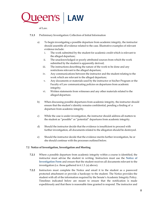

of Law.

- **7.1.3** Preliminary Investigation: Collection of Initial Information
	- a) To begin investigating a possible departure from academic integrity, the instructor should assemble all evidence related to the case. Illustrative examples of relevant evidence include:
		- i. The work submitted by the student for academic credit which is relevant to the alleged departure;
		- ii. The unacknowledged or poorly attributed sources from which the work submitted by the student is apparently derived;
		- iii. The instructions describing the nature of the work to be done and any restrictions relevant to the alleged departure;
		- iv. Any communications between the instructor and the student relating to the work which are relevant to the alleged departure;
		- v. Any documents or materials used by the instructor or his/her Program or the Faculty of Law communicating policies on departures from academic integrity;
		- vi. Written statements from witnesses and any other materials related to the alleged departure.
	- b) When discussing possible departures from academic integrity, the instructor should ensure that the student's identity remains confidential, pending a finding of a departure from academic integrity.
	- c) While the case is under investigation, the instructor should address all matters to the student as "possible" or "potential" departures from academic integrity.
	- d) Should the instructor decide that the evidence is insufficient to proceed with further investigation, all documents related to the allegation should be destroyed.
	- e) Should the instructor decide that the evidence merits further investigation, he or she should continue with the processes outlined below.

#### <span id="page-7-0"></span>**7.2 Notice of Investigation, Investigation and Meeting**

- **7.2.1** Where a possible departure from academic integrity within a course is identified, the instructor must advise the student in writing. Instructors must use the **Notice of Investigation Form** and ensure that the student receives all documents relevant to the investigation (i.e. those gathered in 6.1.3. (a) above).
- **7.2.2** Instructors must complete the Notice and email it to the student as a password protected attachment or provide a hardcopy to the student. The Notice provides the student with all of the information required by the Senate's Academic Integrity Policy. Timelines indicated below are meant to ensure that the notification is made expeditiously and that there is reasonable time granted to respond. The instructor and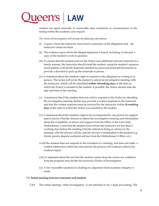student can agree mutually to reasonable time extensions as circumstances or the timing within the academic year require.

*The Notice of Investigation will include the following information:*

- (i) A space where the instructor must insert a summary of the allegations and the instructor's basis for them.
- (ii) The evidence upon which the alleged departure is based, including, if relevant, a copy of the student's work in question.
- (iii) To ensure that the student receives the Notice and additional relevant materials in a timely manner, the instructor should email the student, using the student's queensu email address with all the materials attached as password protected documents or provide a direction to pick up the materials in person.
- (iv) A statement about the student's right to respond to the allegation in writing or in person. The notice will invite the student to attend an investigative meeting with the instructor, which will be scheduled **within 10working days** of the date on which the Notice is emailed to the student. If possible, the Notice should state the date and time of the meeting.
- (v) A statement that if the student does not wish to respond to the Notice by attending the investigative meeting, he/she may provide a written response to the instructor and that the written response must be received by the instructor within **10 working days** of the date on which the Notice was emailed to the student.
- (vi) A statement about the student's right to be accompanied by one person for support and/or advice if he/she chooses to attend the investigative meeting and information about the availability of advice and support from the Office of the University Ombudsman. a note that the student must inform the instructor not less than 2 working days before the meeting if he/she intends to bring an advisor to the meeting, who the advisor will be, and the advisor's relationship to the student (e.g. friend, parent, dispute resolution advisor from the Ombudsman's Office, etc.)
- (vii)If the student does not respond to the invitation to a meeting, and does not make a written submission within the time period, the process will continue without the student's input.
- (viii) A statement about the fact that the student cannot drop the course nor withdraw from the program once he/she has received a Notice of Investigation.
- (ix) A list of possible sanctions if a finding of a departure from academic integrity is made.

#### <span id="page-8-0"></span>**7.3 Initial meeting between instructor and student:**

**7.3.1** The initial meeting, while investigatory, is not intended to be a legal proceeding. The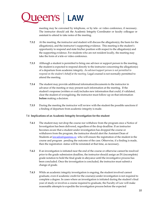

meeting may be convened by telephone, or by tele- or video conference, if necessary. The instructor should ask the Academic Integrity Coordinator or faculty colleague or assistant to attend to take notes of the meeting.

- **7.3.2** At the meeting, the instructor and student will discuss the allegation(s), the basis for the allegation(s), and the instructor's supporting evidence. This meeting is the student's opportunity to respond and state his/her position with respect to the allegation(s) and the supporting evidence. For students who are not resident locally, the meeting may take the form of a tele-or video conference.
- **7.3.3** Although a student is permitted to bring one advisor or support person to the meeting, the student is expected to respond directly to the instructor concerning the allegation(s) of a departure from academic integrity. *An advisor/support person is not permitted to respond on the student's behalf at the meeting.* Legal counsel is not normally permitted to attend the meeting.
- **7.3.4** The student may provide additional information/documents to the instructor in advance of the meeting or may present such information at the meeting. If the student's response (written or oral) includes new information that could, if validated, clear the student of wrongdoing, the instructor must follow-up on that information **before** making a decision.
- **7.3.5** During the meeting the instructor will review with the student the possible sanctions if a finding of departure from academic integrity is made.

#### <span id="page-9-0"></span>**7.4 Implications of an Academic Integrity Investigation for the student**

- **7.4.1** The student may not drop the course nor withdraw from the program once a Notice of Investigation has been delivered, regardless of the drop deadline. If an instructor becomes aware that a student under investigation has dropped the course or withdrawn from the program, the instructor should alert the Assistant Dean of Students at [lawados@queensu.ca](mailto:lawados@queensu.ca) who will ensure the registration of the student in the course and program pending the outcome of the case. Otherwise, if a finding is made, then the registration status will be reinstated at that time, as necessary.
- **7.4.2** If an investigation is initiated near the end of the course or otherwise cannot be resolved prior to the grade submission deadline, the instructor should assign an IN (incomplete) grade notation to hold the final grade in abeyance until the investigative process has been concluded. Once the investigation is concluded, the instructor must submit a change of grade.
- **7.4.3** While an academic integrity investigation is ongoing, the student involved cannot graduate, even if academic credit for the course(s) under investigation is not required to complete a degree. In cases where an investigation is initiated during the student's final year of study or involves a course required to graduate, the Faculty of Law will make reasonable attempts to expedite the investigation process before the expected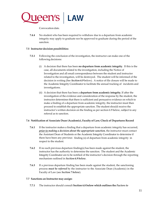

Convocation date.

**7.4.4** No student who has been required to withdraw due to a departure from academic integrity may apply to graduate nor be approved to graduate during the period of the sanction.

#### <span id="page-10-0"></span>**7.5 Instructor decision possibilities:**

- **7.5.1** Following the conclusion of the investigation, the instructor can make one of the following decisions:
	- (i) A decision that there has been **no departure from academic integrity**. If this is the case, all documents related to the investigation, including the Notice of Investigation and all email correspondence between the student and instructor related to the investigation, will be destroyed. The student will be informed of the decision in writing (See *Section 6.9* below). A notice of file closure will be made to the Academic Integrity Coordinator to facilitate the annual tracking of incidents and investigations.
	- (ii) A decision that there has been a **departure from academic integrity.** If after the investigation of the evidence and consideration of the response by the student, the instructor determines that there is sufficient and persuasive evidence on which to make a finding of a departure from academic integrity, the instructor must then proceed to establish the appropriate sanction. The student should receive the instructor's written decision on the finding as per section 6.9 below, subject to any referral as to sanction.

#### <span id="page-10-1"></span>**7.6 Notification of Associate Dean (Academic), Faculty of Law; Check of Departures Record**

- **7.6.1** If the instructor makes a finding that a departure from academic integrity has occurred, *prior to making a decision about the appropriate sanction*, the instructor must contact the Assistant Dean of Students or the Academic Integrity Coordinator to determine if there have been any previous finding (s) of departure from academic integrity in respect to the student.
- **7.6.2** If no such previous departure finding(s) has been made against the student, the instructor has the authority to determine the sanction. The student and the Academic Integrity Coordinator are to be notified of the instructor's decision through the reporting mechanism outlined in *Section 6.9 below.*
- **7.6.3** If a previous departure finding has been made against the student, the sanctioning process *must be referred* by the instructor to the Associate Dean (Academic) in the Faculty of Law (see *Section 7 below*).

#### <span id="page-10-2"></span>**7.7 Sanctions an Instructor may assign:**

**7.7.1** The instructor should consult **Section 6.8 below which outlines the** *Factors to*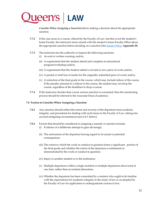

*Consider When Assigning a Sanction* before making a decision about the appropriate sanction.

- **7.7.2** If the case arose in a course, offered by the Faculty of Law, but this is not the student's home Faculty, the instructor must consult with the student's home Faculty Office about the appropriate sanction before deciding on a sanction (See [Senate](http://www.queensu.ca/academicintegrity/sites/webpublish.queensu.ca.aiwww/files/files/Quick%20Links/AcademicIntegrity%20(3).pdf) Policy**, Appendix B**).
- **7.7.3** The instructor has the authority to impose the following sanctions:
	- (i) An oral or written warning; and/or,
	- (ii) A requirement that the student attend and complete an educational program/workshop; and/or,
	- (iii) A requirement that the student submit a revised or new piece of work; and/or,
	- (iv) A partial or total loss of marks for the originally submitted piece of work; and/or,
	- (v) A reduction of the final grade in the course, which may include failure of the course. If the penalty amounts to a failure in the course, the student may not drop the course, regardless of the deadlines to drop a course.
- **7.7.4** If the instructor decides that a more serious sanction is warranted, then the sanctioning process should be referred to the Associate Dean (Academic).

#### <span id="page-11-0"></span>**7.8 Factors to Consider When Assigning a Sanction**

- **7.8.1** Any sanction should reflect the extent and severity of the departure from academic integrity, and precedents for dealing with such issues in the Faculty of Law, taking into account mitigating circumstances (see 6.8.3. below).
- **7.8.2** Factors that should be considered in assigning a remedy or sanction include: (i) Evidence of a deliberate attempt to gain advantage;
	- (ii) The seriousness of the departure having regard to its actual or potential consequences;
	- (iii) The extent to which the work or conduct in question forms a significant portion of the final grade and whether the extent of the departure is substantial as demonstrated by the work or conduct in question;
	- (iv) Injury to another student or to the institution;
	- (v) Multiple departures within a single incident or multiple departures discovered at one time, rather than an isolated aberration;
	- (vi) Whether the departure has been committed by a student who ought to be familiar with the expectations for academic integrity in the study of law or as adopted by the Faculty of Law for application to undergraduate courses in law;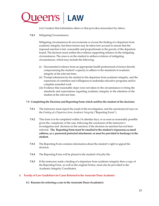

(vii) Conduct that intimidates others or that provokes misconduct by others.

**7.8.3** MitigatingCircumstances:

Mitigating circumstances do not exonerate or excuse the finding of a departure from academic integrity, but these factors may be taken into account to ensure that the imposed sanction is fair, reasonable and proportionate to the gravity of the departure found. The decision must outline the evidence supporting reliance on the mitigating circumstances. The onus is on the student to adduce evidence of mitigating circumstances, which may include the following:

- (i) Documented evidence from an appropriate health professional of factors directly compromising the student's capacity to adhere to the standards of academic integrity at the relevant time;
- (ii) Prompt admission by the student to the departure from academic integrity, and the expression of contrition and willingness to undertake educative programs and/or complete remedial work
- (iii) Evidence that reasonable steps were not taken in the circumstances to bring the standards and expectations regarding academic integrity to the attention of the student at the relevant time.

#### <span id="page-12-0"></span>**7.9 Completing the Decision and Reporting Form which notifies the student of the decision:**

- **7.9.1** The instructor must report the result of the investigation, and the sanction(s) (if any) on the *Finding of a Departure from Academic Integrity* ("Reporting Form").
- **7.9.2** This form is to be completed within 14 calendar days, or as soon as reasonably possible given the complexity of the case, following the conclusion of the instructor's investigation and decision on the sanction, if the decision on sanction has not been referred. **The Reporting Form must be emailed to the student's @queensu.ca email address, as a password protected attachment, or must be provided in hardcopy to the student.**
- **7.9.3** The Reporting Form contains information about the student's right to appeal the decision.
- **7.9.4** The Reporting Form will be placed in the student's Faculty file.
- **7.9.5** If the instructor made a finding of a departure from academic integrity then a copy of the Reporting Form, as well as the original Notice, must also be provided to the Academic Integrity Coordinator.

#### <span id="page-12-2"></span><span id="page-12-1"></span>**Faculty of Law Guidelines for Cases Referred to the Associate Dean Academic**

**8.1 Reasons for referring a case to the Associate Dean (Academic):**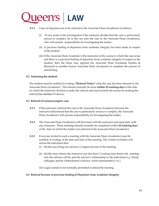

#### **8.1.1** Cases of departure are to be referred to the Associate Dean (Academic) as follows:

- (i) At any point in the investigation if the instructor decides that the case is particularly serious or complex, he or she can refer the case to, the Associate Dean (Academic), who will assume responsibility for investigating the matter.
- (ii) A previous finding of departure from academic integrity has been made in respect to the student.
- (iii) If the Associate Dean Academic is the instructor in the course in which the case arose and there is a previous finding of departure from academic integrity in respect to the student, then the Dean may appoint the Associate Dean (Graduate Studies & Research) or another former Associate Dean (Academic) to complete the process of sanctioning.

#### <span id="page-13-0"></span>**8.2 Informing the student:**

The student must be notified in writing (**"Referral Notice**") that the case has been referred to the Associate Dean (Academic). This should normally be done **within 10 working days** of the date on which the instructor decided to make the referral and must include the reason for making the referral (See *Section 7.1* above).

#### <span id="page-13-1"></span>**8.3 Referral of serious/complex case**

- **8.3.1** If the instructor referred the case to the Associate Dean (Academic) because the instructor determined that the case is particularly serious or complex, the Associate Dean (Academic) will assume responsibility for investigating the matter.
- **8.3.2** The Associate Dean (Academic) will first meet with the instructor and separately with any witnesses. These meetings should normally be completed within **10 working days** of the date on which the matter was referred to the Associate Dean (Academic).
- **8.3.3** Everyone invited to such a meeting with the Associate Dean (Academic) must be notified, in writing, of the date and time of the meeting. The written invitation will advise the individual that:
	- (i) He/she may bring one advisor or support person to the meeting.
	- (ii) He/she must inform the instructor not less than 2 working days before the meeting who the advisor will be and the advisor's relationship to the individual (*e.g.* friend, colleague, parent, Ombudsman's advisor, union representative, *etc*.).
	- (iii) Legal counsel is not normally permitted to attend the meeting.

#### <span id="page-13-2"></span>**8.4 Referral because of previous finding of Departure from Academic Integrity**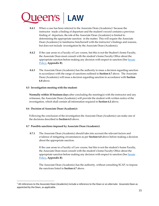## **Ueen's LAW**

- **8.4.1** When a case has been referred to the Associate Dean (Academic) [1](#page-14-3) because the instructor made a finding of departure and the student's record contains a previous finding of departure, the role of the Associate Dean (Academic) is limited to determining the appropriate sanction in the matter. This will require the Associate Dean (Academic) to familiarize him/herself with the instructor's findings and reasons, but does not include investigation by the Associate Dean (Academic).
- **8.4.2** If the case arose in a Faculty of Law course, but this is not the Student's home Faculty, the Associate Dean must consult with the student's home Faculty Office about the appropriate sanction before making any decision with respect to sanction (See [Senate](http://www.queensu.ca/academicintegrity/sites/webpublish.queensu.ca.aiwww/files/files/Quick%20Links/AcademicIntegrity%20(3).pdf) [Policy](http://www.queensu.ca/academicintegrity/sites/webpublish.queensu.ca.aiwww/files/files/Quick%20Links/AcademicIntegrity%20(3).pdf)**, Appendix B**).
- **8.4.3** The Associate Dean (Academic) has the authority to issue a decision regarding sanction in accordance with the range of sanctions outlined in **Section 6.7** above. The Associate Dean (Academic) will issue a decision regarding sanction in accordance with **Section 6.8** above.

#### <span id="page-14-0"></span>**8.5 Investigation meeting with the student:**

**Normally within 10 business days** after concluding the meeting(s) with the instructor and any witnesses, the Associate Dean (Academic) will provide the student with written notice of the investigation, which shall contain all information required in **Section 6.2** above.

#### <span id="page-14-1"></span>**8.6 Decision of Associate Dean (Academic):**

Following the conclusion of the investigation the Associate Dean (Academic) can make one of the decisions described in **Section 6.5** above.

#### <span id="page-14-2"></span>**8.7 Possible sanctions imposed by Associate Dean (Academic):**

**8.7.1** The Associate Dean (Academic) should take into account the relevant factors and evidence of mitigating circumstances as per **Section 6.8** above before making a decision about the appropriate sanction.

If the case arose in a Faculty of Law course, but this is not the student's home Faculty, the Associate Dean must consult with the student's home Faculty Office about the appropriate sanction before making any decision with respect to sanction (See [Senate](http://www.queensu.ca/academicintegrity/sites/webpublish.queensu.ca.aiwww/files/files/Quick%20Links/AcademicIntegrity%20(3).pdf) [Policy](http://www.queensu.ca/academicintegrity/sites/webpublish.queensu.ca.aiwww/files/files/Quick%20Links/AcademicIntegrity%20(3).pdf)**, Appendix B**).

The Associate Dean (Academic) has the authority, without consulting SCAP, to impose the sanctions listed in **Section 6.7** above.

<span id="page-14-3"></span><sup>&</sup>lt;sup>1</sup> All references to the Associate Dean (Academic) include a reference to the Dean or an alternate Associate Dean as appointed by the Dean, as applicable.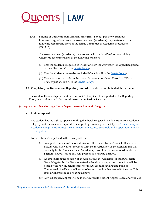

**8.7.2** Finding of Departure from Academic Integrity - Serious penalty warranted: In severe or egregious cases, the Associate Dean (Academic) may make one of the following recommendations to the Senate Committee of Academic Procedures ("SCAP")

The Associate Dean (Academic) must consult with the SCAP *before* determining whether to recommend any of the following sanctions

- (i) That the student be required to withdraw from the University for a specified period of time (Sanction #6 in the **Senate Policy**)
- (ii) That the student's degree be rescinded<sup>[2](#page-15-3)</sup> (Sanction #7 in the Senate [Policy\)](http://www.queensu.ca/academicintegrity/sites/webpublish.queensu.ca.aiwww/files/files/Quick%20Links/AcademicIntegrity%20(3).pdf)
- (iii) That a notation be made on the student's Internal Academic Record or Official Transcript (Sanction #8 in the Senate [Policy\)](http://www.queensu.ca/academicintegrity/sites/webpublish.queensu.ca.aiwww/files/files/Quick%20Links/AcademicIntegrity%20(3).pdf).

#### <span id="page-15-0"></span>**8.8 Completing the Decision and Reporting form which notifies the student of the decision:**

The result of the investigation and the sanction(s) (if any) must be reported on the Reporting Form, in accordance with the procedure set out in **Section 6.9** above.

#### <span id="page-15-2"></span><span id="page-15-1"></span>**Appealing a Decision regarding a Departure from Academic Integrity:**

#### **9.1 Right to Appeal;**

The student has the right to appeal a finding that he/she engaged in a departure from academic integrity and the sanction imposed. The appeals process is governed by the Senate Policy on Academic Integrity Procedures – Requirements of Faculties & Schools and Appendices A and B to that policy.

For law students registered in the Faculty of Law:

- (i) an appeal from an instructor's decision will be heard by an Associate Dean in the Faculty who has was not involved with the investigation or the decision; this will normally be the Associate Dean (Academic), except in circumstances described in **Section 7** above. This appeal will proceed as a hearing de novo.
- (ii) An appeal from the decision of an Associate Dean (Academic) or other Associate Dean delegated by the Dean to make the decision on departure or sanction will be heard by the non-student members of the Academic Standing and Policies Committee in the Faculty of Law who had no prior involvement with the case. This appeal will proceed as a hearing de novo
- (iii) Any subsequent appeal will be to the University Student Appeal Board and will take

<span id="page-15-3"></span> <sup>2</sup> <http://queensu.ca/secretariat/policies/senate/policy-rescinding-degrees>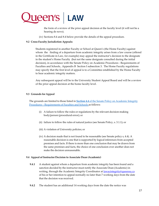

the form of a review of the prior appeal decision at the faculty level (it will not be a hearing de novo).

(iv) Sections 8.4 and 8.4 below provide the details of the appeal procedure.

#### <span id="page-16-0"></span>**9.2 Cross-Faculty Jurisdiction Appeals:**

Students registered in another Faculty or School at Queen's (the Home Faculty) against whom the finding of a departure from academic integrity arises from a law course (offered in the Certificate in Law, for example) may appeal the instructor's decision to the designate in the student's Home Faculty (but not the same designate consulted during the initial decision), in accordance with the Senate Policy on Academic Procedures - Requirements of Faculties and Schools, .Appendix B Section I subsection 3. The Home Faculty regulations may specify that the first level of appeal is to a Committee established by the Home Faculty to hear academic integrity matters.

Any subsequent appeal will be to the University Student Appeal Board and will be a review of the prior appeal decision at the home faculty level.

#### <span id="page-16-1"></span>**9.3 Grounds for Appeal**

The grounds are limited to those listed in **Section 4.4** of the Senate Policy on [Academic](http://www.queensu.ca/academicintegrity/sites/webpublish.queensu.ca.aiwww/files/files/Quick%20Links/AcademicIntegrity%20(3).pdf) Integrity Procedures – [Requirements](http://www.queensu.ca/academicintegrity/sites/webpublish.queensu.ca.aiwww/files/files/Quick%20Links/AcademicIntegrity%20(3).pdf) of Faculties and Schools as follows:

- (i) A failure to follow the rules or regulations by the relevant decision-making body/person (procedural error); or
- (ii) failure to follow the rules of natural justice (see Senate Policy, s. 3.1.1); or
- (iii) A violation of University policies; or
- (iv) A decision made that is not found to be reasonable (see Senate policy s, 4.4). A reasonable decision is one that is supported by logical inferences from accepted premises and facts. If there is more than one conclusion that may be drawn from the same premises and facts, the choice of one conclusion over another does not make the decision unreasonable.

#### <span id="page-16-2"></span>**9.4 Appeal of Instructor Decision to Associate Dean (Academic)**

- **9.4.1** A student against whom a departure from academic integrity has been found and a sanction decided by the instructor must notify the Associate Dean (Academic) in writing, through the Academic Integrity Coordinator a[t lawacintegrity@queensu.ca](mailto:lawacintegrity@queensu.ca) of his or her intention to appeal normally no later than 7 working days from the date that the decision was received.
- **9.4.2** The student has an additional 14 working days from the date the notice was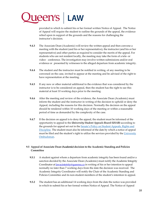

provided in which to submit his or her formal written Notice of Appeal. The Notice of Appeal will require the student to outline the grounds of the appeal, the evidence relied upon in support of the grounds and the reasons for challenging the instructor's decision.

- **9.4.3** The Associate Dean (Academic) will review the written appeal and then convene a meeting with the student (and his or her representative), the instructor (and his or her representative) and other parties as required to consider the merits of the appeal. For students who are not resident locally, the meeting may take the form of a tele- or video- conference. The investigation may involve written submissions and/or oral evidence or presented by witnesses to the alleged departure from academic integrity.
- **9.4.4** The student and the instructor must be notified in writing, of any meeting to be convened on the case, invited to appear at the meeting and be advised of the right to have representation at the meeting.
- **9.4.5** If any new or other material additional to the evidence that was considered by the instructor is to be considered on appeal, then the student has the right to see this material at least 10 working days prior to the meeting.
- **9.4.6** After the meeting and review of the evidence, the Associate Dean (Academic) must inform the student and the instructor in writing of the decision to uphold or deny the Appeal, including the reasons for this decision. Normally the decision on the appeal should be rendered within 10 working days of the meeting or within a reasonable period of time as demanded by the complexity of the case.
- **9.4.7** If the decision on appeal is to deny the appeal, the student must be informed of the opportunity to appeal to the *University Student Appeals Board (USAB)* according to the grounds for appeal set out in the Senate's Policy on Student [Appeals,](http://www.queensu.ca/secretariat/sites/webpublish.queensu.ca.uslcwww/files/files/policies/senateandtrustees/SARD_Policy.pdf) Rights an[d](http://www.queensu.ca/secretariat/sites/webpublish.queensu.ca.uslcwww/files/files/policies/senateandtrustees/SARD_Policy.pdf) [Discipline.](http://www.queensu.ca/secretariat/sites/webpublish.queensu.ca.uslcwww/files/files/policies/senateandtrustees/SARD_Policy.pdf) The student must also be informed of the date by which a notice of appeal must be filed and the student's right to utilize the services provided by the [University](http://www.queensu.ca/ombudsman/) [Ombudsman.](http://www.queensu.ca/ombudsman/)

#### <span id="page-17-0"></span>**9.5 Appeal of Associate Dean (Academic) decision to the Academic Standing and Policies Committee**

- **9.5.1** A student against whom a departure from academic integrity has been found and/or a sanction decided by the Associate Dean (Academic) must notify the Academic Integrity Coordinator a[t lawacintetrity@queensu.ca](mailto:lawacintetrity@queensu.ca) in writing of his or her intention to appeal normally no later than 7 working days from the date the decision was received. The Academic Integrity Coordinator will notify the Chair of the Academic Standing and Policies Committee and its non-student members of the student's intention to appeal.
- **9.5.2** The student has an additional 14 working days from the date the notice was provided in which to submit his or her formal written Notice of Appeal. The Notice of Appeal